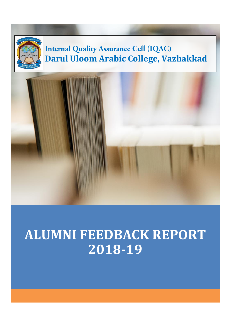

# **ALUMNI FEEDBACK REPORT 2018-19**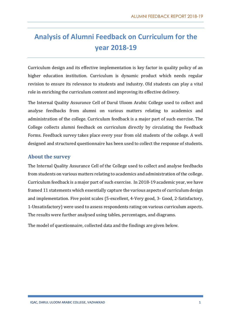# **Analysis of Alumni Feedback on Curriculum for the year 2018-19**

Curriculum design and its effective implementation is key factor in quality policy of an higher education institution. Curriculum is dynamic product which needs regular revision to ensure its relevance to students and industry. Old students can play a vital role in enriching the curriculum content and improving its effective delivery.

The Internal Quality Assurance Cell of Darul Uloom Arabic College used to collect and analyse feedbacks from alumni on various matters relating to academics and administration of the college. Curriculum feedback is a major part of such exercise. The College collects alumni feedback on curriculum directly by circulating the Feedback Forms. Feedback survey takes place every year from old students of the college. A well designed and structured questionnaire has been used to collect the response of students.

## **About the survey**

The Internal Quality Assurance Cell of the College used to collect and analyse feedbacks from students on various matters relating to academics and administration of the college. Curriculum feedback is a major part of such exercise. In 2018-19 academic year, we have framed 11 statements which essentially capture the various aspects of curriculum design and implementation. Five point scales (5-excellent, 4-Very good, 3- Good, 2-Satisfactory, 1-Unsatisfactory) were used to assess respondents rating on various curriculum aspects. The results were further analysed using tables, percentages, and diagrams.

The model of questionnaire, collected data and the findings are given below.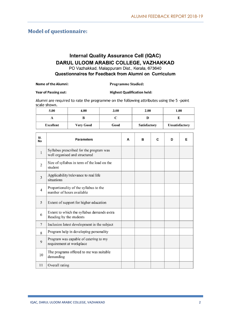## **Model of questionnaire:**

## **Internal Quality Assurance Cell (IQAC)** DARUL ULOOM ARABIC COLLEGE, VAZHAKKAD

PO Vazhakkad, Malappuram Dist., Kerala, 673640

Questionnaires for Feedback from Alumni on Curriculum

#### **Name of the Alumni:**

#### **Programme Studied:**

**Year of Passing out: Highest Qualification held:** 

Alumni are required to rate the programme on the following attributes using the 5 -point scale shown.

| 5.00             | 4.00             | 3.00 | 2.00                | 1.00                  |
|------------------|------------------|------|---------------------|-----------------------|
|                  |                  |      |                     |                       |
| <b>Excellent</b> | <b>Very Good</b> | Good | <b>Satisfactory</b> | <b>Unsatisfactory</b> |

| SI.<br>No      | <b>Parameters</b>                                                        | A | в | C | D | Е |
|----------------|--------------------------------------------------------------------------|---|---|---|---|---|
| $\mathbf{1}$   | Syllabus prescribed for the program was<br>well organised and structured |   |   |   |   |   |
| $\overline{2}$ | Size of syllabus in term of the load on the<br>student                   |   |   |   |   |   |
| 3              | Applicability/relevance to real life<br>situations                       |   |   |   |   |   |
| $\overline{4}$ | Proportionality of the syllabus to the<br>number of hours available      |   |   |   |   |   |
| 5              | Extent of support for higher education                                   |   |   |   |   |   |
| 6              | Extent to which the syllabus demands extra<br>Reading by the students    |   |   |   |   |   |
| 7              | Inclusion latest development in the subject                              |   |   |   |   |   |
| 8              | Program help in developing personality                                   |   |   |   |   |   |
| 9              | Program was capable of catering to my<br>requirement at workplace        |   |   |   |   |   |
| 10             | The programs offered to me was suitable<br>demanding                     |   |   |   |   |   |
| 11             | Overall rating                                                           |   |   |   |   |   |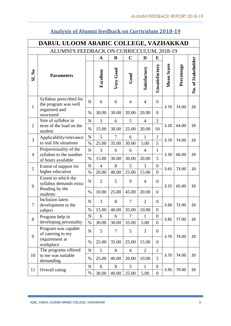|                | DARUL ULOOM ARABIC COLLEGE, VAZHAKKAD                                                    |                     |                |            |                |                |                                    |                   |            |                    |
|----------------|------------------------------------------------------------------------------------------|---------------------|----------------|------------|----------------|----------------|------------------------------------|-------------------|------------|--------------------|
|                | ALUMNI'S FEEDBACK ON CURRICCULUM, 2018-19                                                |                     |                |            |                |                |                                    |                   |            |                    |
|                |                                                                                          |                     | $\mathbf A$    | B          | $\mathbf C$    | D              | E                                  |                   |            |                    |
| <b>SI. No</b>  | <b>Parameters</b>                                                                        |                     | Excellent      | Very Good  | Good           | Satisfactory   | Unsatisfactory                     | <b>Mean Score</b> | Percentage | No. of Stakeholder |
| $\mathbf{1}$   | Syllabus prescribed for<br>the program was well                                          | $\mathbf N$         | 6              | 6          | $\overline{4}$ | $\overline{4}$ | $\overline{0}$                     | 3.70              | 74.00      | 20                 |
|                | organised and<br>structured                                                              | $\%$                | 30.00          | 30.00      | 20.00          | 20.00          | $\overline{0}$                     |                   |            |                    |
|                | Size of syllabus in                                                                      | $\mathbf N$         | 3              | 6          | 5              | $\overline{4}$ | $\overline{2}$                     |                   |            |                    |
| $\overline{2}$ | term of the load on the<br>student                                                       | $\%$                | 15.00          | 30.00      | 25.00          | 20.00          | 10                                 | 3.20              | 64.00      | 20                 |
| 3              | Applicability/relevance                                                                  | ${\bf N}$           | 5              | 7          | 6              | 1              | $\mathbf{1}$                       | 3.70              | 74.00      | 20                 |
|                | to real life situations                                                                  | $\%$                | 25.00          | 35.00      | 30.00          | 5.00           | 5                                  |                   |            |                    |
|                | Proportionality of the<br>syllabus to the number<br>$\overline{4}$<br>of hours available | $\mathbf N$         | 3              | 6          | 6              | $\overline{4}$ | $\mathbf{1}$                       | 3.30              | 66.00      | 20                 |
|                |                                                                                          | $\%$                | 15.00          | 30.00      | 30.00          | 20.00          | 5                                  |                   |            |                    |
| 5              | Extent of support for                                                                    | $\mathbf N$         | $\overline{4}$ | 8          | 5              | 3              | $\boldsymbol{0}$                   | 3.65              | 73.00      | 20                 |
|                | higher education                                                                         | $\%$                | 20.00          | 40.00      | 25.00          | 15.00          | $\overline{0}$                     |                   |            |                    |
| 6              | Extent to which the<br>syllabus demands extra                                            | $\mathbf N$         | $\overline{2}$ | 5          | 9              | $\overline{4}$ | $\boldsymbol{0}$                   | 3.25              | 65.00      | 20                 |
|                | Reading by the<br>students                                                               | $\%$                | 10.00          | 25.00      | 45.00          | 20.00          | $\overline{0}$                     |                   |            |                    |
| 7              | <b>Inclusion</b> latest<br>development in the                                            | $\mathbf N$         | 3              | 8          | $\tau$         | $\overline{2}$ | $\overline{0}$                     | 3.60              | 72.00      | 20                 |
|                | subject                                                                                  | $\%$                | 15.00          | 40.00      | 35.00          | 10.00          | $\boldsymbol{0}$                   |                   |            |                    |
| 8              | Program help in                                                                          | $\mathbf N$         | 6              | 6          | $\overline{7}$ | $\mathbf{1}$   | $\boldsymbol{0}$                   | 3.85              | 77.00      | 20                 |
|                | developing personality                                                                   | $\%$                | 30.00          | 30.00      | 35.00          | 5.00           | $\overline{0}$                     |                   |            |                    |
| 9              | Program was capable<br>of catering to my                                                 | ${\bf N}$           | 5              | 7          | 5              | 3              | $\overline{0}$                     | 3.70              | 74.00      | 20                 |
|                | requirement at<br>workplace                                                              | $\%$                | 25.00          | 35.00      | 25.00          | 15.00          | $\overline{0}$                     |                   |            |                    |
|                | The programs offered                                                                     | ${\bf N}$           | 5              | 8          | $\overline{4}$ | $\overline{2}$ | $\mathbf{1}$                       |                   |            |                    |
| 10             | to me was suitable<br>demanding                                                          | $\%$                | 25.00          | 40.00      | 20.00          | 10.00          | 5                                  | 3.70              | 74.00      | 20                 |
| 11             | Overall rating                                                                           | $\mathbf N$<br>$\%$ | 6<br>30.00     | 8<br>40.00 | 5<br>25.00     | 1<br>5.00      | $\overline{0}$<br>$\boldsymbol{0}$ | 3.95              | 79.00      | 20                 |

# **Analysis of Alumni feedback on Curriculum 2018-19**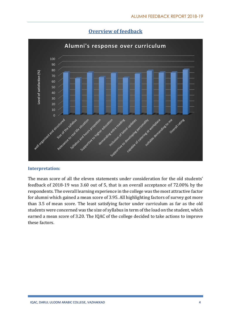

## **Overview of feedback**

## **Interpretation:**

The mean score of all the eleven statements under consideration for the old students' feedback of 2018-19 was 3.60 out of 5, that is an overall acceptance of 72.00% by the respondents. The overall learning experience in the college was the most attractive factor for alumni which gained a mean score of 3.95. All highlighting factors of survey got more than 3.5 of mean score. The least satisfying factor under curriculum as far as the old students were concerned was the size of syllabus in term of the load on the student, which earned a mean score of 3.20. The IQAC of the college decided to take actions to improve these factors.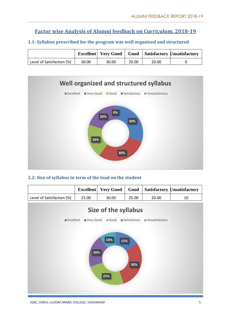## **Factor wise Analysis of Alumni feedback on Curriculum, 2018-19**

## **1.1: Syllabus prescribed for the program was well organised and structured**

|                           |       |       |       |       | Excellent   Very Good   Good   Satisfactory Unsatisfactory |
|---------------------------|-------|-------|-------|-------|------------------------------------------------------------|
| Level of Satisfaction (%) | 30.00 | 30.00 | 20.00 | 20.00 |                                                            |



## **2.2: Size of syllabus in term of the load on the student**

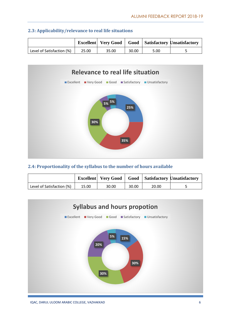|                           |       |       |       |      | <b>Excellent</b>   Very Good   Good   Satisfactory Unsatisfactory |
|---------------------------|-------|-------|-------|------|-------------------------------------------------------------------|
| Level of Satisfaction (%) | 25.00 | 35.00 | 30.00 | 5.00 |                                                                   |





## **2.4: Proportionality of the syllabus to the number of hours available**

|                           |       | Excellent   Very Good |       |       | <b>Good</b> Satisfactory Unsatisfactory |
|---------------------------|-------|-----------------------|-------|-------|-----------------------------------------|
| Level of Satisfaction (%) | 15.00 | 30.00                 | 30.00 | 20.00 |                                         |

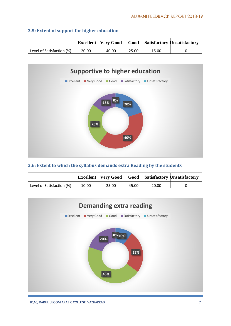|                           |       |       |       |       | <b>Excellent</b> Very Good   Good   Satisfactory Unsatisfactory |
|---------------------------|-------|-------|-------|-------|-----------------------------------------------------------------|
| Level of Satisfaction (%) | 20.00 | 40.00 | 25.00 | 15.00 |                                                                 |

## **2.5: Extent of support for higher education**



## **2.6: Extent to which the syllabus demands extra Reading by the students**

|                           |       | <b>Excellent</b> Very Good |       |       | <b>Good</b> Satisfactory Unsatisfactory |
|---------------------------|-------|----------------------------|-------|-------|-----------------------------------------|
| Level of Satisfaction (%) | 10.00 | 25.00                      | 45.00 | 20.00 |                                         |

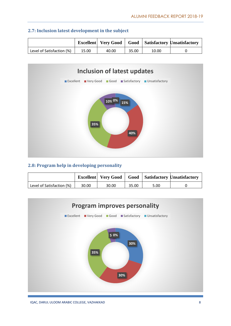|                           |       |       |       |       | <b>Excellent</b>   Very Good   Good   Satisfactory Unsatisfactory |
|---------------------------|-------|-------|-------|-------|-------------------------------------------------------------------|
| Level of Satisfaction (%) | 15.00 | 40.00 | 35.00 | 10.00 |                                                                   |





## **2.8: Program help in developing personality**

|                           |       |       |       |      | Excellent   Very Good   Good   Satisfactory Unsatisfactory |
|---------------------------|-------|-------|-------|------|------------------------------------------------------------|
| Level of Satisfaction (%) | 30.00 | 30.00 | 35.00 | 5.00 |                                                            |

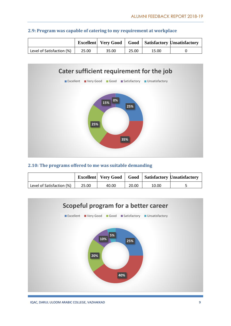|                           |       |       |       |       | <b>Excellent</b>   Very Good   Good   Satisfactory Unsatisfactory |
|---------------------------|-------|-------|-------|-------|-------------------------------------------------------------------|
| Level of Satisfaction (%) | 25.00 | 35.00 | 25.00 | 15.00 |                                                                   |





#### **2.10: The programs offered to me was suitable demanding**

|                           |       | <b>Excellent</b> Very Good |       |       | <b>Good</b> Satisfactory Unsatisfactory |
|---------------------------|-------|----------------------------|-------|-------|-----------------------------------------|
| Level of Satisfaction (%) | 25.00 | 40.00                      | 20.00 | 10.00 |                                         |